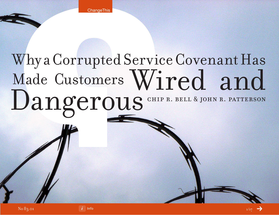# Why a Corrupted Service Covenant Has Dangerous CHIP R. BELL & JOHN R. PATTERSON

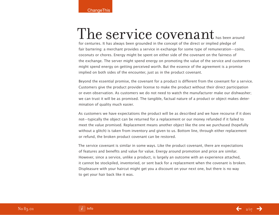**ChangeThis** 

# The service covenant has been around

for centuries. It has always been grounded in the concept of the direct or implied pledge of fair bartering: a merchant provides a service in exchange for some type of remuneration—coins, coconuts or chores. Energy might be spent on either side of the covenant on the fairness of the exchange. The server might spend energy on promoting the value of the service and customers might spend energy on getting perceived worth. But the essence of the agreement is a promise implied on both sides of the encounter, just as in the product covenant.

Beyond the essential promise, the covenant for a product is different from the covenant for a service. Customers give the product provider license to make the product without their direct participation or even observation. As customers we do not need to watch the manufacturer make our dishwasher; we can trust it will be as promised. The tangible, factual nature of a product or object makes determination of quality much easier.

As customers we have expectations the product will be as described and we have recourse if it does not—typically the object can be returned for a replacement or our money refunded if it failed to meet the value promised. Replacement means another object like the one we purchased (hopefully without a glitch) is taken from inventory and given to us. Bottom line, through either replacement or refund, the broken product covenant can be restored.

The service covenant is similar in some ways. Like the product covenant, there are expectations of features and benefits and value for value. Energy around promotion and price are similar. However, since a service, unlike a product, is largely an outcome with an experience attached, it cannot be stockpiled, inventoried, or sent back for a replacement when the covenant is broken. Displeasure with your haircut might get you a discount on your next one, but there is no way to get your hair back like it was.

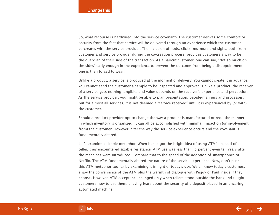So, what recourse is hardwired into the service covenant? The customer derives some comfort or security from the fact that service will be delivered through an experience which the customer co-creates with the service provider. The inclusion of nods, clicks, murmurs and sighs, both from customer and service provider during the co-creation process, provides customers a way to be the guardian of their side of the transaction. As a haircut customer, one can say, "Not so much on the sides" early enough in the experience to prevent the outcome from being a disappointment one is then forced to wear.

Unlike a product, a service is produced at the moment of delivery. You cannot create it in advance. You cannot send the customer a sample to be inspected and approved. Unlike a product, the receiver of a service gets nothing tangible, and value depends on the receiver's experience and perception. As the service provider, you might be able to plan presentation, people-manners and processes, but for almost all services, it is not deemed a "service received" until it is experienced by (or with) the customer.

Should a product provider opt to change the way a product is manufactured or redo the manner in which inventory is organized, it can all be accomplished with minimal impact on (or involvement from) the customer. However, alter the way the service experience occurs and the covenant is fundamentally altered.

Let's examine a simple metaphor. When banks got the bright idea of using ATM's instead of a teller, they encountered sizable resistance. ATM use was less than 15 percent even ten years after the machines were introduced. Compare that to the speed of the adoption of smartphones or Netflix. The ATM fundamentally altered the nature of the service experience. Now, don't push this ATM metaphor too far by examining it in light of today's use. We all know today's customers enjoy the convenience of the ATM plus the warmth of dialogue with Peggy or Paul inside if they choose. However, ATM acceptance changed only when tellers stood outside the bank and taught customers how to use them, allaying fears about the security of a deposit placed in an uncaring, automated machine.

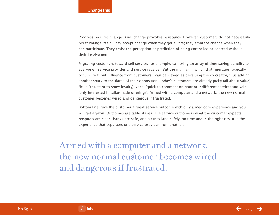Progress requires change. And, change provokes resistance. However, customers do not necessarily resist change itself. They accept change when they get a vote; they embrace change when they can participate. They resist the perception or prediction of being controlled or coerced without their involvement.

Migrating customers toward self-service, for example, can bring an array of time-saving benefits to everyone—service provider and service receiver. But the manner in which that migration typically occurs—without influence from customers—can be viewed as devaluing the co-creator, thus adding another spark to the flame of their opposition. Today's customers are already picky (all about value), fickle (reluctant to show loyalty), vocal (quick to comment on poor or indifferent service) and vain (only interested in tailor-made offerings). Armed with a computer and a network, the new normal customer becomes wired and dangerous if frustrated.

Bottom line, give the customer a great service outcome with only a mediocre experience and you will get a yawn. Outcomes are table stakes. The service outcome is what the customer expects: hospitals are clean, banks are safe, and airlines land safely, on-time and in the right city. It is the experience that separates one service provider from another.

Armed with a computer and a network, the new normal customer becomes wired and dangerous if frustrated.



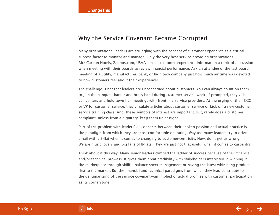#### Why the Service Covenant Became Corrupted

Many organizational leaders are struggling with the concept of customer experience as a critical success factor to monitor and manage. Only the very best service-providing organizations— Ritz-Carlton Hotels, Zappos.com, USAA—make customer experience information a topic of discussion when meeting with their boards to review financial performance. Ask an attendee of the last board meeting of a utility, manufacturer, bank, or high tech company just how much air time was devoted to how customers feel about their experience!

The challenge is not that leaders are unconcerned about customers. You can always count on them to join the banquet, banter and brass band during customer service week. If prompted, they visit call centers and hold town hall meetings with front line service providers. At the urging of their CCO or VP for customer service, they circulate articles about customer service or kick off a new customer service training class. And, these symbols of interest are important. But, rarely does a customer complaint, unless from a dignitary, keep them up at night.

Part of the problem with leaders' disconnects between their spoken passion and actual practice is the paradigm from which they are most comfortable operating. Way too many leaders try to drive a nail with a B-flat when it comes to changing to customer-centricity. Now, don't get us wrong. We are music lovers and big fans of B-flats. They are just not that useful when it comes to carpentry.

Think about it this way: Many senior leaders climbed the ladder of success because of their financial and/or technical prowess. It gives them great credibility with stakeholders interested in winning in the marketplace through skillful balance sheet management or having the latest whiz bang product first to the market. But the financial and technical paradigms from which they lead contribute to the dehumanizing of the service covenant—an implied or actual promise with customer participation as its cornerstone.

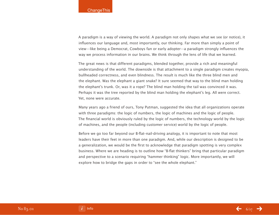A paradigm is a way of viewing the world. A paradigm not only shapes what we see (or notice), it influences our language and, most importantly, our thinking. Far more than simply a point of view—like being a Democrat, Cowboys fan or early adopter—a paradigm strongly influences the way we process information in our brains. We think through the lens of life that we learned.

The great news is that different paradigms, blended together, provide a rich and meaningful understanding of the world. The downside is that attachment to a single paradigm creates myopia, bullheaded correctness, and even blindness. The result is much like the three blind men and the elephant. Was the elephant a giant snake? It sure seemed that way to the blind man holding the elephant's trunk. Or, was it a rope? The blind man holding the tail was convinced it was. Perhaps it was the tree reported by the blind man holding the elephant's leg. All were correct. Yet, none were accurate.

Many years ago a friend of ours, Tony Putman, suggested the idea that all organizations operate with three paradigms: the logic of numbers, the logic of machines and the logic of people. The financial world is obviously ruled by the logic of numbers, the technology world by the logic of machines, and the people (including customer service) world by the logic of people.

Before we go too far beyond our B-flat–nail-driving analogy, it is important to note that most leaders have their feet in more than one paradigm. And, while our description is designed to be a generalization, we would be the first to acknowledge that paradigm spotting is very complex business. Where we are heading is to outline how "B-flat thinkers" bring that particular paradigm and perspective to a scenario requiring "hammer thinking" logic. More importantly, we will explore how to bridge the gaps in order to "see the whole elephant."

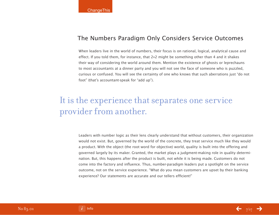# The Numbers Paradigm Only Considers Service Outcomes

When leaders live in the world of numbers, their focus is on rational, logical, analytical cause and effect. If you told them, for instance, that 2+2 might be something other than 4 and it shakes their way of considering the world around them. Mention the existence of ghosts or leprechauns to most accountants at a dinner party and you will not see the face of someone who is puzzled, curious or confused. You will see the certainty of one who knows that such aberrations just "do not foot" (that's accountant-speak for "add up").

# It is the experience that separates one service provider from another.

Leaders with number logic as their lens clearly understand that without customers, their organization would not exist. But, governed by the world of the concrete, they treat service much like they would a product. With the object (the root word for objective) world, quality is built into the offering and governed largely by its maker. Granted, the market plays a judgment-making role in quality determination. But, this happens after the product is built, not while it is being made. Customers do not come into the factory and influence. Thus, number-paradigm leaders put a spotlight on the service outcome, not on the service experience. "What do you mean customers are upset by their banking experience? Our statements are accurate and our tellers efficient!"



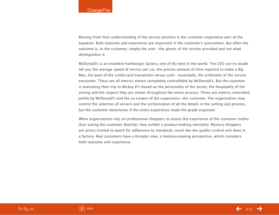Missing from their understanding of the service promise is the customer experience part of the equation. Both outcome and experience are important in the customer's assessment. But often the outcome is, to the customer, simply the ante—the givens of the service provided and not what distinguishes it.

McDonald's is an excellent hamburger factory, one of the best in the world. The CEO can no doubt tell you the average speed of service per car, the precise amount of time required to make a Big Mac, the pace of the credit-card transaction versus cash—essentially, the arithmetic of the service encounter. These are all metrics almost completely controllable by McDonald's. But the customer is evaluating their trip to Mickey D's based on the personality of the server, the hospitality of the setting and the respect they are shown throughout the entire process. These are metrics controlled jointly by McDonald's and the co-creator of the experience—the customer. The organization may control the selection of servers and the orchestration of all the details in the setting and process, but the customer determines if the entire experience made the grade expected.

When organizations rely on professional shoppers to assess the experience of the customer (rather than asking the customer directly), they exhibit a product-making mentality. Mystery shoppers are actors trained to watch for adherence to standards, much like the quality control unit does in a factory. Real customers have a broader view, a memory-making perspective, which considers both outcome and experience.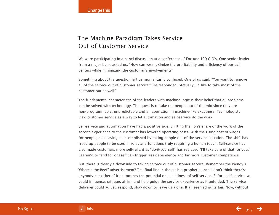# The Machine Paradigm Takes Service Out of Customer Service

We were participating in a panel discussion at a conference of Fortune 100 CIO's. One senior leader from a major bank asked us, "How can we maximize the profitability and efficiency of our call centers while minimizing the customer's involvement?"

Something about the question left us momentarily confused. One of us said. "You want to remove all of the service out of customer service?" He responded, "Actually, I'd like to take most of the customer out as well!"

The fundamental characteristic of the leaders with machine logic is their belief that all problems can be solved with technology. The quest is to take the people out of the mix since they are non-programmable, unpredictable and an aberration in machine-like exactness. Technologists view customer service as a way to let automation and self-service do the work

Self-service and automation have had a positive side. Shifting the lion's share of the work of the service experience to the customer has lowered operating costs. With the rising cost of wages for people, cost-saving is accomplished by taking people out of the service equation. The shift has freed up people to be used in roles and functions truly requiring a human touch. Self-service has also made customers more self-reliant as "do-it-yourself" has replaced "I'll take care of that for you." Learning to fend for oneself can trigger less dependence and far more customer competence.

But, there is clearly a downside to taking service out of customer service. Remember the Wendy's "Where's the Beef" advertisement? The final line in the ad is a prophetic one: "I don't think there's anybody back there." It epitomizes the potential one-sidedness of self-service. Before self-service, we could influence, critique, affirm and help guide the service experience as it unfolded. The service deliverer could adjust, respond, slow down or leave us alone. It all seemed quite fair. Now, without

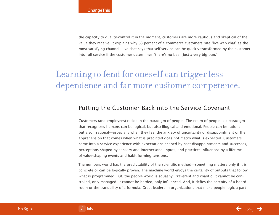the capacity to quality-control it in the moment, customers are more cautious and skeptical of the value they receive. It explains why 63 percent of e-commerce customers rate "live web chat" as the most satisfying channel. Live chat says that self-service can be quickly transformed by the customer into full service if the customer determines "there's no beef, just a very big bun."

# Learning to fend for oneself can trigger less dependence and far more customer competence.

# Putting the Customer Back into the Service Covenant

Customers (and employees) reside in the paradigm of people. The realm of people is a paradigm that recognizes humans can be logical, but also illogical and emotional. People can be rational, but also irrational—especially when they feel the anxiety of uncertainty or disappointment or the apprehension that comes when what is predicted does not match what is expected. Customers come into a service experience with expectations shaped by past disappointments and successes, perceptions shaped by sensory and interpersonal inputs, and practices influenced by a lifetime of value-shaping events and habit forming tensions.

The numbers world has the predictability of the scientific method—something matters only if it is concrete or can be logically proven. The machine world enjoys the certainty of outputs that follow what is programmed. But, the people world is squashy, irreverent and chaotic. It cannot be controlled, only managed. It cannot be herded, only influenced. And, it defies the serenity of a boardroom or the tranquility of a formula. Great leaders in organizations that make people logic a part

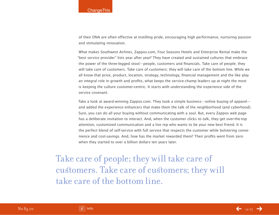of their DNA are often effective at instilling pride, encouraging high performance, nurturing passion and stimulating innovation.

What makes Southwest Airlines, Zappos.com, Four Seasons Hotels and Enterprise Rental make the "best service provider" lists year after year? They have created and sustained cultures that embrace the power of the three-legged stool—people, customers and financials. Take care of people; they will take care of customers. Take care of customers; they will take care of the bottom line. While we all know that price, product, location, strategy, technology, financial management and the like play an integral role in growth and profits, what keeps the service-champ leaders up at night the most is keeping the culture customer-centric. It starts with understanding the experience side of the service covenant.

Take a look at award-winning Zappos.com. They took a simple business—online buying of apparel and added the experience enhancers that make them the talk of the neighborhood (and cyberhood). Sure, you can do all your buying without communicating with a soul. But, every Zappos web page has a deliberate invitation to interact. And, when the customer clicks to talk, they get over-the-top attention, customized communication and a live rep who wants to be your new best friend. It is the perfect blend of self-service with full service that respects the customer while bolstering convenience and cost-savings. And, how has the market rewarded them? Their profits went from zero when they started to over a billion dollars ten years later.

Take care of people; they will take care of customers. Take care of customers; they will take care of the bottom line.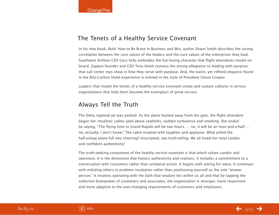## The Tenets of a Healthy Service Covenant

In his new book, Bold: How to Be Brave in Business and Win, author Shaun Smith describes the strong correlation between the core values of the leaders and the core values of the enterprises they lead. Southwest Airlines CEO Gary Kelly embodies the fun-loving character that flight attendants model on board. Zappos founder and CEO Tony Hsieh conveys the strong allegiance to leading with purpose that call center reps show in how they serve with purpose. And, the warm, yet refined elegance found in the Ritz-Carlton Hotel experience is echoed in the style of President Simon Cooper.

Leaders that model the tenets of a healthy service covenant create and sustain cultures in service organizations that help them become the exemplars of great service.

## Always Tell the Truth

The Delta regional jet was packed. As the plane backed away from the gate, the flight attendant began her ritualistic safety spiel about seatbelts, sudden turbulence and smoking. She ended by saying, "The flying time to Grand Rapids will be two hours. . . no, it will be an hour-and-a-half. . . no, actually, I don't know." The cabin erupted with laughter and applause. What jolted the half-asleep plane-full into cheering? Unscripted, raw truth-telling. We all loved her total candor and confident authenticity!

The truth-seeking component of the healthy service covenant is that which values candor and openness. It is the dimension that honors authenticity and realness. It includes a commitment to a conversation with customers rather than unilateral action. It begins with asking for input. It continues with enlisting others in problem resolution rather than positioning yourself as the sole "answer person." It involves operating with the faith that wisdom lies within us all and that by tapping the collective brainpower of customers and associates, the organization is stronger, more responsive and more adaptive to the ever-changing requirements of customers and employees.

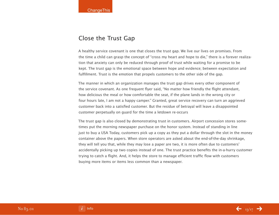## Close the Trust Gap

A healthy service covenant is one that closes the trust gap. We live our lives on promises. From the time a child can grasp the concept of "cross my heart and hope to die," there is a forever realization that anxiety can only be reduced through proof of trust while waiting for a promise to be kept. The trust gap is the emotional space between hope and evidence; between expectation and fulfillment. Trust is the emotion that propels customers to the other side of the gap.

The manner in which an organization manages the trust gap drives every other component of the service covenant. As one frequent flyer said, "No matter how friendly the flight attendant, how delicious the meal or how comfortable the seat, if the plane lands in the wrong city or four hours late, I am not a happy camper." Granted, great service recovery can turn an aggrieved customer back into a satisfied customer. But the residue of betrayal will leave a disappointed customer perpetually on guard for the time a letdown re-occurs

The trust gap is also closed by demonstrating trust in customers. Airport concession stores sometimes put the morning newspaper purchase on the honor system. Instead of standing in line just to buy a USA Today, customers pick up a copy as they put a dollar through the slot in the money container above the papers. When store operators are asked about the end-of-the-day shrinkage, they will tell you that, while they may lose a paper are two, it is more often due to customers' accidentally picking up two copies instead of one. The trust practice benefits the in-a-hurry customer trying to catch a flight. And, it helps the store to manage efficient traffic flow with customers buying more items or items less common than a newspaper.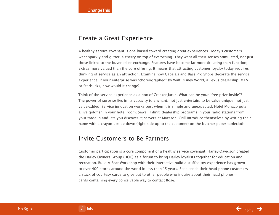## Create a Great Experience

A healthy service covenant is one biased toward creating great experiences. Today's customers want sparkly and glitter; a cherry on top of everything. They want all their senses stimulated, not just those linked to the buyer-seller exchange. Features have become far more titillating than function; extras more valued than the core offering. It means that attracting customer loyalty today requires thinking of service as an attraction. Examine how Cabela's and Bass Pro Shops decorate the service experience. If your enterprise was "choreographed" by Walt Disney World, a Lexus dealership, MTV or Starbucks, how would it change?

Think of the service experience as a box of Cracker Jacks. What can be your "free prize inside"? The power of surprise lies in its capacity to enchant, not just entertain; to be value-unique, not just value-added. Service innovation works best when it is simple and unexpected. Hotel Monaco puts a live goldfish in your hotel room; Sewell Infiniti dealership programs in your radio stations from your trade-in and lets you discover it; servers at Macaroni Grill introduce themselves by writing their name with a crayon upside down (right side up to the customer) on the butcher paper tablecloth.

## Invite Customers to Be Partners

Customer participation is a core component of a healthy service covenant. Harley-Davidson created the Harley Owners Group (HOG) as a forum to bring Harley loyalists together for education and recreation. Build-A-Bear Workshop with their interactive build-a-stuffed-toy experience has grown to over 400 stores around the world in less than 15 years. Bose sends their head phone customers a stack of courtesy cards to give out to other people who inquire about their head phones cards containing every conceivable way to contact Bose.

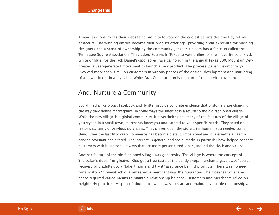Threadless.com invites their website community to vote on the coolest t-shirts designed by fellow amateurs. The winning entries become their product offerings, providing great exposure for budding designers and a sense of ownership by the community. Jackdaniels.com has a fan club called the Tennessee Squire Association. They asked Squires in Texas to vote online for their favorite color (red, white or blue) for the Jack Daniel's–sponsored race car to run in the annual Texas 500. Mountain Dew created a user-generated movement to launch a new product. The process (called Dewmocracy) involved more than 3 million customers in various phases of the design, development and marketing of a new drink ultimately called White Out. Collaboration is the core of the service covenant.

## And, Nurture a Community

Social media like blogs, Facebook and Twitter provide concrete evidence that customers are changing the way they define marketplace. In some ways the Internet is a return to the old-fashioned village. While the new village is a global community, it nevertheless has many of the features of the village of yesteryear. In a small town, merchants knew you and catered to your specific needs. They acted on history, patterns of previous purchases. They'd even open the store after hours if you needed something. Over the last fifty years commerce has become distant, impersonal and one-size-fits all as the service covenant has altered. The Internet in general and social media in particular have helped connect customers with businesses in ways that are more personalized, open, around-the-clock and valued.

Another feature of the old-fashioned village was generosity. The village is where the concept of "the baker's dozen" originated. Kids got a free taste at the candy shop; merchants gave away "secret recipes," and adults got a "take it home and try it" assurance behind products. There was no need for a written "money-back guarantee"—the merchant was the guarantee. The closeness of shared space required varied means to maintain relationship balance. Customers and merchants relied on neighborly practices. A spirit of abundance was a way to start and maintain valuable relationships.

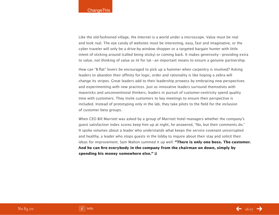Like the old-fashioned village, the Internet is a world under a microscope. Value must be real and look real. The eye candy of websites must be interesting, easy, fast and imaginative, or the cyber traveler will only be a drive-by window shopper or a targeted bargain hunter with little intent of sticking around (called being sticky) or coming back. It makes generosity—providing extra to value, not thinking of value as tit for tat—an important means to ensure a genuine partnership.

How can "B-flat" lovers be encouraged to pick up a hammer when carpentry is involved? Asking leaders to abandon their affinity for logic, order and rationality is like hoping a zebra will change its stripes. Great leaders add to their leadership prowess by embracing new perspectives and experimenting with new practices. Just as innovative leaders surround themselves with mavericks and unconventional thinkers, leaders in pursuit of customer-centricity spend quality time with customers. They invite customers to key meetings to ensure their perspective is included. Instead of prototyping only in the lab, they take pilots to the field for the inclusion of customer beta groups.

When CEO Bill Marriott was asked by a group of Marriott hotel managers whether the company's guest satisfaction index scores keep him up at night, he answered, "No, but their comments do." It spoke volumes about a leader who understands what keeps the service covenant uncorrupted and healthy, a leader who stops guests in the lobby to inquire about their stay and solicit their ideas for improvement. Sam Walton summed it up well: **"There is only one boss. The customer. And he can fire everybody in the company from the chairman on down, simply by spending his money somewhere else."**